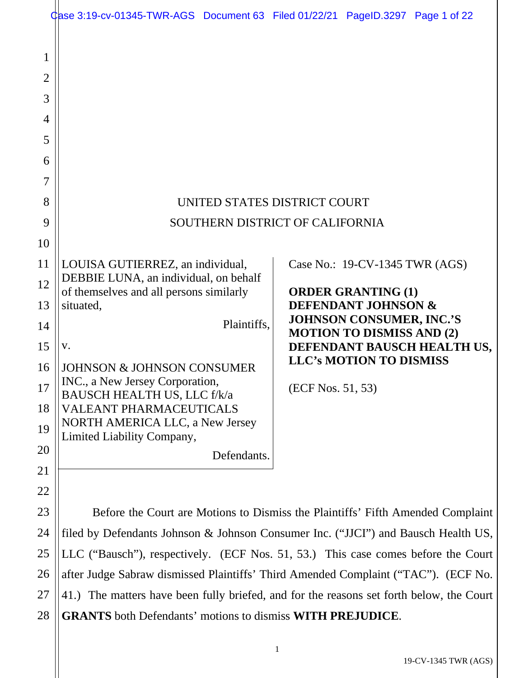|                                                                           | Case 3:19-cv-01345-TWR-AGS Document 63 Filed 01/22/21 PageID.3297 Page 1 of 22           |                                                                                                       |  |
|---------------------------------------------------------------------------|------------------------------------------------------------------------------------------|-------------------------------------------------------------------------------------------------------|--|
| 1<br>$\overline{2}$<br>3<br>$\overline{4}$<br>5<br>6<br>7<br>8<br>9<br>10 | UNITED STATES DISTRICT COURT                                                             | SOUTHERN DISTRICT OF CALIFORNIA                                                                       |  |
|                                                                           |                                                                                          |                                                                                                       |  |
| 11                                                                        | LOUISA GUTIERREZ, an individual,<br>DEBBIE LUNA, an individual, on behalf                | Case No.: 19-CV-1345 TWR (AGS)                                                                        |  |
| 12                                                                        | of themselves and all persons similarly                                                  | <b>ORDER GRANTING (1)</b>                                                                             |  |
| 13<br>14                                                                  | situated,<br>Plaintiffs,                                                                 | <b>DEFENDANT JOHNSON &amp;</b><br><b>JOHNSON CONSUMER, INC.'S</b><br><b>MOTION TO DISMISS AND (2)</b> |  |
| 15                                                                        | V.                                                                                       | DEFENDANT BAUSCH HEALTH US,                                                                           |  |
| 16                                                                        | <b>JOHNSON &amp; JOHNSON CONSUMER</b>                                                    | <b>LLC's MOTION TO DISMISS</b>                                                                        |  |
| 17                                                                        | INC., a New Jersey Corporation,<br>BAUSCH HEALTH US, LLC f/k/a                           | (ECF Nos. 51, 53)                                                                                     |  |
| 18                                                                        | <b>VALEANT PHARMACEUTICALS</b>                                                           |                                                                                                       |  |
| 19                                                                        | <b>NORTH AMERICA LLC, a New Jersey</b><br>Limited Liability Company,                     |                                                                                                       |  |
| 20                                                                        | Defendants.                                                                              |                                                                                                       |  |
| 21                                                                        |                                                                                          |                                                                                                       |  |
| 22                                                                        |                                                                                          |                                                                                                       |  |
| 23                                                                        | Before the Court are Motions to Dismiss the Plaintiffs' Fifth Amended Complaint          |                                                                                                       |  |
| 24                                                                        | filed by Defendants Johnson & Johnson Consumer Inc. ("JJCI") and Bausch Health US,       |                                                                                                       |  |
| 25                                                                        | LLC ("Bausch"), respectively. (ECF Nos. 51, 53.) This case comes before the Court        |                                                                                                       |  |
| 26                                                                        | after Judge Sabraw dismissed Plaintiffs' Third Amended Complaint ("TAC"). (ECF No.       |                                                                                                       |  |
| 27                                                                        | 41.) The matters have been fully briefed, and for the reasons set forth below, the Court |                                                                                                       |  |
| 28                                                                        | <b>GRANTS</b> both Defendants' motions to dismiss WITH PREJUDICE.                        |                                                                                                       |  |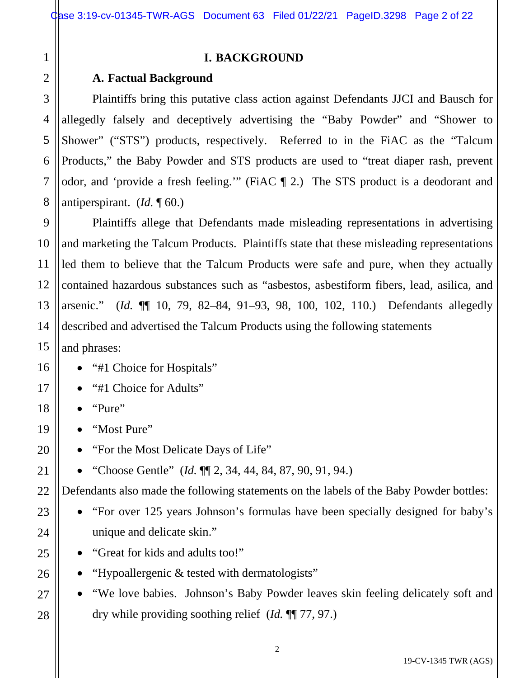25

26

27

28

# **I. BACKGROUND**

## **A. Factual Background**

Plaintiffs bring this putative class action against Defendants JJCI and Bausch for allegedly falsely and deceptively advertising the "Baby Powder" and "Shower to Shower" ("STS") products, respectively. Referred to in the FiAC as the "Talcum Products," the Baby Powder and STS products are used to "treat diaper rash, prevent odor, and 'provide a fresh feeling.'" (FiAC ¶ 2.) The STS product is a deodorant and antiperspirant. (*Id.* ¶ 60.)

Plaintiffs allege that Defendants made misleading representations in advertising and marketing the Talcum Products. Plaintiffs state that these misleading representations led them to believe that the Talcum Products were safe and pure, when they actually contained hazardous substances such as "asbestos, asbestiform fibers, lead, asilica, and arsenic." (*Id.* ¶¶ 10, 79, 82–84, 91–93, 98, 100, 102, 110.) Defendants allegedly described and advertised the Talcum Products using the following statements

and phrases:

- "#1 Choice for Hospitals"
- "#1 Choice for Adults"
- "Pure"
- "Most Pure"
- "For the Most Delicate Days of Life"
- "Choose Gentle" (*Id.* ¶¶ 2, 34, 44, 84, 87, 90, 91, 94.)

Defendants also made the following statements on the labels of the Baby Powder bottles:

- "For over 125 years Johnson's formulas have been specially designed for baby's unique and delicate skin."
- "Great for kids and adults too!"
- "Hypoallergenic & tested with dermatologists"
- "We love babies. Johnson's Baby Powder leaves skin feeling delicately soft and dry while providing soothing relief (*Id.* ¶¶ 77, 97.)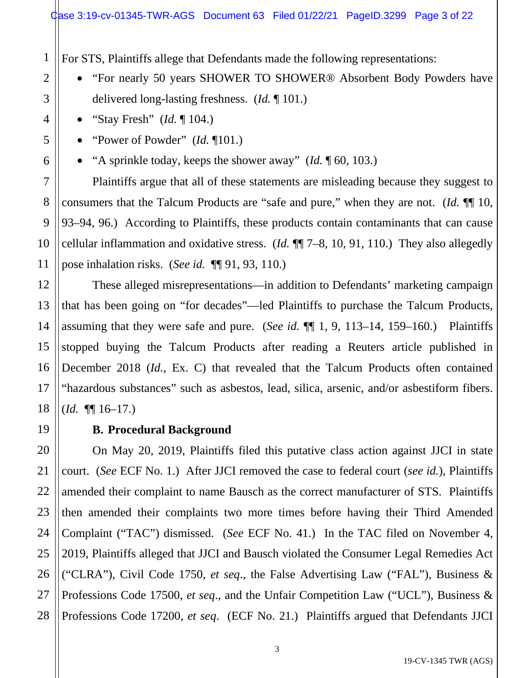For STS, Plaintiffs allege that Defendants made the following representations:

- "For nearly 50 years SHOWER TO SHOWER® Absorbent Body Powders have delivered long-lasting freshness. (*Id.* ¶ 101.)
- "Stay Fresh" (*Id.* ¶ 104.)
- "Power of Powder" (*Id.* ¶101.)
- "A sprinkle today, keeps the shower away" (*Id.* ¶ 60, 103.)

Plaintiffs argue that all of these statements are misleading because they suggest to consumers that the Talcum Products are "safe and pure," when they are not. (*Id.* ¶¶ 10, 93–94, 96.) According to Plaintiffs, these products contain contaminants that can cause cellular inflammation and oxidative stress. (*Id.* ¶¶ 7–8, 10, 91, 110.) They also allegedly pose inhalation risks. (*See id.* ¶¶ 91, 93, 110.)

These alleged misrepresentations—in addition to Defendants' marketing campaign that has been going on "for decades"—led Plaintiffs to purchase the Talcum Products, assuming that they were safe and pure. (*See id.* ¶¶ 1, 9, 113–14, 159–160.) Plaintiffs stopped buying the Talcum Products after reading a Reuters article published in December 2018 (*Id.*, Ex. C) that revealed that the Talcum Products often contained "hazardous substances" such as asbestos, lead, silica, arsenic, and/or asbestiform fibers. (*Id.* ¶¶ 16–17.)

# **B. Procedural Background**

20 21 22 23 24 25 26 27 28 On May 20, 2019, Plaintiffs filed this putative class action against JJCI in state court. (*See* ECF No. 1.) After JJCI removed the case to federal court (*see id.*), Plaintiffs amended their complaint to name Bausch as the correct manufacturer of STS. Plaintiffs then amended their complaints two more times before having their Third Amended Complaint ("TAC") dismissed. (*See* ECF No. 41.) In the TAC filed on November 4, 2019, Plaintiffs alleged that JJCI and Bausch violated the Consumer Legal Remedies Act ("CLRA"), Civil Code 1750, *et seq*., the False Advertising Law ("FAL"), Business & Professions Code 17500, *et seq*., and the Unfair Competition Law ("UCL"), Business & Professions Code 17200, *et seq*. (ECF No. 21.) Plaintiffs argued that Defendants JJCI

1

2

3

4

5

6

7

8

9

10

11

12

13

14

15

16

17

18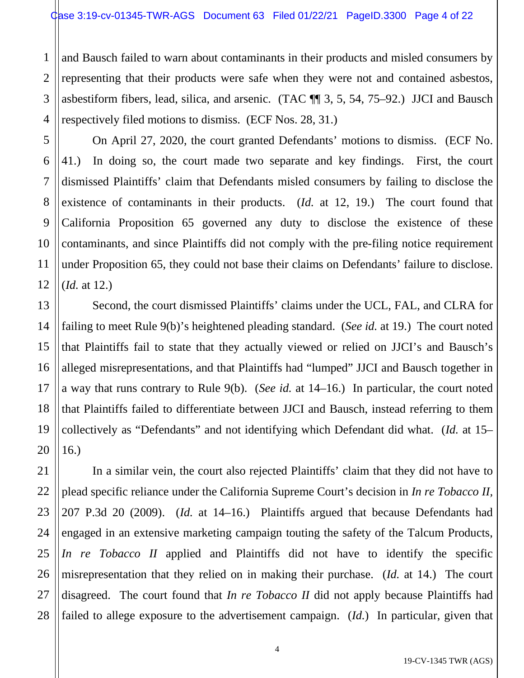1 2 3 4 and Bausch failed to warn about contaminants in their products and misled consumers by representing that their products were safe when they were not and contained asbestos, asbestiform fibers, lead, silica, and arsenic. (TAC ¶¶ 3, 5, 54, 75–92.) JJCI and Bausch respectively filed motions to dismiss. (ECF Nos. 28, 31.)

On April 27, 2020, the court granted Defendants' motions to dismiss. (ECF No. 41.) In doing so, the court made two separate and key findings. First, the court dismissed Plaintiffs' claim that Defendants misled consumers by failing to disclose the existence of contaminants in their products. (*Id.* at 12, 19.) The court found that California Proposition 65 governed any duty to disclose the existence of these contaminants, and since Plaintiffs did not comply with the pre-filing notice requirement under Proposition 65, they could not base their claims on Defendants' failure to disclose. (*Id.* at 12.)

Second, the court dismissed Plaintiffs' claims under the UCL, FAL, and CLRA for failing to meet Rule 9(b)'s heightened pleading standard. (*See id.* at 19.) The court noted that Plaintiffs fail to state that they actually viewed or relied on JJCI's and Bausch's alleged misrepresentations, and that Plaintiffs had "lumped" JJCI and Bausch together in a way that runs contrary to Rule 9(b). (*See id.* at 14–16.) In particular, the court noted that Plaintiffs failed to differentiate between JJCI and Bausch, instead referring to them collectively as "Defendants" and not identifying which Defendant did what. (*Id.* at 15– 16.)

In a similar vein, the court also rejected Plaintiffs' claim that they did not have to plead specific reliance under the California Supreme Court's decision in *In re Tobacco II,* 207 P.3d 20 (2009). (*Id.* at 14–16.) Plaintiffs argued that because Defendants had engaged in an extensive marketing campaign touting the safety of the Talcum Products, *In re Tobacco II* applied and Plaintiffs did not have to identify the specific misrepresentation that they relied on in making their purchase. (*Id.* at 14.) The court disagreed. The court found that *In re Tobacco II* did not apply because Plaintiffs had failed to allege exposure to the advertisement campaign. (*Id.*) In particular, given that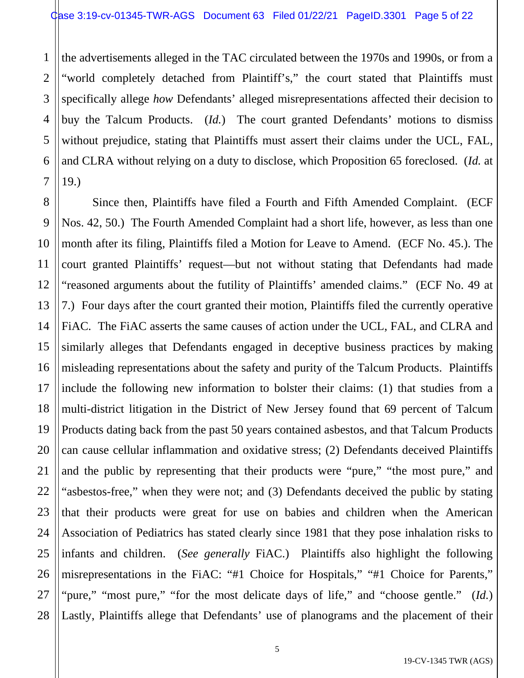1

2 3 4 5 6 7 the advertisements alleged in the TAC circulated between the 1970s and 1990s, or from a "world completely detached from Plaintiff's," the court stated that Plaintiffs must specifically allege *how* Defendants' alleged misrepresentations affected their decision to buy the Talcum Products. (*Id.*) The court granted Defendants' motions to dismiss without prejudice, stating that Plaintiffs must assert their claims under the UCL, FAL, and CLRA without relying on a duty to disclose, which Proposition 65 foreclosed. (*Id.* at 19.)

8 9 10 11 12 13 14 15 16 17 18 19 20 21 22 23 24 25 26 27 28 Since then, Plaintiffs have filed a Fourth and Fifth Amended Complaint. (ECF Nos. 42, 50.) The Fourth Amended Complaint had a short life, however, as less than one month after its filing, Plaintiffs filed a Motion for Leave to Amend. (ECF No. 45.). The court granted Plaintiffs' request—but not without stating that Defendants had made "reasoned arguments about the futility of Plaintiffs' amended claims." (ECF No. 49 at 7.) Four days after the court granted their motion, Plaintiffs filed the currently operative FiAC. The FiAC asserts the same causes of action under the UCL, FAL, and CLRA and similarly alleges that Defendants engaged in deceptive business practices by making misleading representations about the safety and purity of the Talcum Products. Plaintiffs include the following new information to bolster their claims: (1) that studies from a multi-district litigation in the District of New Jersey found that 69 percent of Talcum Products dating back from the past 50 years contained asbestos, and that Talcum Products can cause cellular inflammation and oxidative stress; (2) Defendants deceived Plaintiffs and the public by representing that their products were "pure," "the most pure," and "asbestos-free," when they were not; and (3) Defendants deceived the public by stating that their products were great for use on babies and children when the American Association of Pediatrics has stated clearly since 1981 that they pose inhalation risks to infants and children. (*See generally* FiAC.) Plaintiffs also highlight the following misrepresentations in the FiAC: "#1 Choice for Hospitals," "#1 Choice for Parents," "pure," "most pure," "for the most delicate days of life," and "choose gentle." (*Id.*) Lastly, Plaintiffs allege that Defendants' use of planograms and the placement of their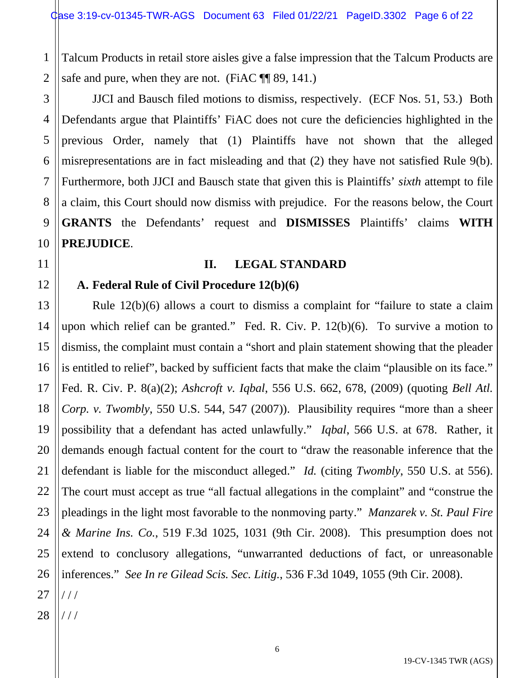1 2 Talcum Products in retail store aisles give a false impression that the Talcum Products are safe and pure, when they are not. (FiAC  $\P$  89, 141.)

JJCI and Bausch filed motions to dismiss, respectively. (ECF Nos. 51, 53.) Both Defendants argue that Plaintiffs' FiAC does not cure the deficiencies highlighted in the previous Order, namely that (1) Plaintiffs have not shown that the alleged misrepresentations are in fact misleading and that (2) they have not satisfied Rule 9(b). Furthermore, both JJCI and Bausch state that given this is Plaintiffs' *sixth* attempt to file a claim, this Court should now dismiss with prejudice. For the reasons below, the Court **GRANTS** the Defendants' request and **DISMISSES** Plaintiffs' claims **WITH PREJUDICE**.

#### **II. LEGAL STANDARD**

## **A. Federal Rule of Civil Procedure 12(b)(6)**

Rule 12(b)(6) allows a court to dismiss a complaint for "failure to state a claim upon which relief can be granted." Fed. R. Civ. P. 12(b)(6). To survive a motion to dismiss, the complaint must contain a "short and plain statement showing that the pleader is entitled to relief", backed by sufficient facts that make the claim "plausible on its face." Fed. R. Civ. P. 8(a)(2); *Ashcroft v. Iqbal*, 556 U.S. 662, 678, (2009) (quoting *Bell Atl. Corp. v. Twombly*, 550 U.S. 544, 547 (2007)). Plausibility requires "more than a sheer possibility that a defendant has acted unlawfully." *Iqbal*, 566 U.S. at 678. Rather, it demands enough factual content for the court to "draw the reasonable inference that the defendant is liable for the misconduct alleged." *Id.* (citing *Twombly*, 550 U.S. at 556). The court must accept as true "all factual allegations in the complaint" and "construe the pleadings in the light most favorable to the nonmoving party." *Manzarek v. St. Paul Fire & Marine Ins. Co.*, 519 F.3d 1025, 1031 (9th Cir. 2008). This presumption does not extend to conclusory allegations, "unwarranted deductions of fact, or unreasonable inferences." *See In re Gilead Scis. Sec. Litig.*, 536 F.3d 1049, 1055 (9th Cir. 2008). / / /

28 / / /

3

4

5

6

7

8

9

10

11

12

13

14

15

16

17

18

19

20

21

22

23

24

25

26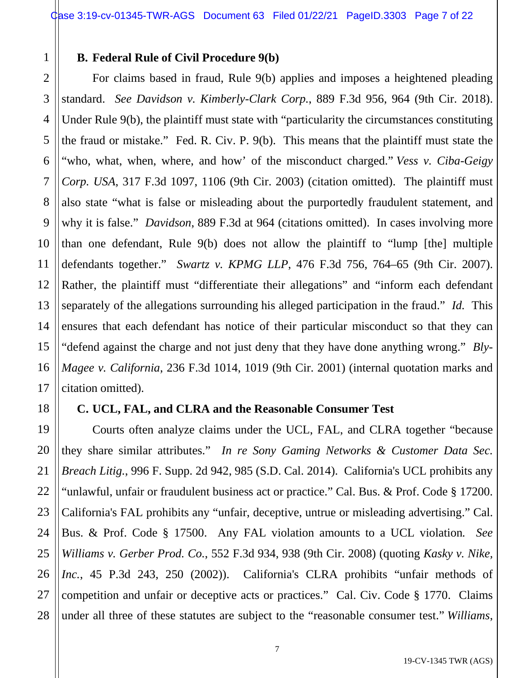#### **B. Federal Rule of Civil Procedure 9(b)**

1

2

3

5

7

8

9

10

11

12

13

14

15

16

17

18

20

21

22

23

27

4 6 For claims based in fraud, Rule 9(b) applies and imposes a heightened pleading standard. *See Davidson v. Kimberly-Clark Corp.*, 889 F.3d 956, 964 (9th Cir. 2018). Under Rule 9(b), the plaintiff must state with "particularity the circumstances constituting the fraud or mistake." Fed. R. Civ. P. 9(b). This means that the plaintiff must state the "who, what, when, where, and how' of the misconduct charged." *Vess v. Ciba-Geigy Corp. USA*, 317 F.3d 1097, 1106 (9th Cir. 2003) (citation omitted). The plaintiff must also state "what is false or misleading about the purportedly fraudulent statement, and why it is false." *Davidson*, 889 F.3d at 964 (citations omitted). In cases involving more than one defendant, Rule 9(b) does not allow the plaintiff to "lump [the] multiple defendants together." *Swartz v. KPMG LLP*, 476 F.3d 756, 764–65 (9th Cir. 2007). Rather, the plaintiff must "differentiate their allegations" and "inform each defendant separately of the allegations surrounding his alleged participation in the fraud." *Id.* This ensures that each defendant has notice of their particular misconduct so that they can "defend against the charge and not just deny that they have done anything wrong." *Bly-Magee v. California*, 236 F.3d 1014, 1019 (9th Cir. 2001) (internal quotation marks and citation omitted).

## **C. UCL, FAL, and CLRA and the Reasonable Consumer Test**

19 24 25 26 28 Courts often analyze claims under the UCL, FAL, and CLRA together "because they share similar attributes." *In re Sony Gaming Networks & Customer Data Sec. Breach Litig.*, 996 F. Supp. 2d 942, 985 (S.D. Cal. 2014). California's UCL prohibits any "unlawful, unfair or fraudulent business act or practice." Cal. Bus. & Prof. Code § 17200. California's FAL prohibits any "unfair, deceptive, untrue or misleading advertising." Cal. Bus. & Prof. Code § 17500. Any FAL violation amounts to a UCL violation*. See Williams v. Gerber Prod. Co.*, 552 F.3d 934, 938 (9th Cir. 2008) (quoting *Kasky v. Nike, Inc.*, 45 P.3d 243, 250 (2002)). California's CLRA prohibits "unfair methods of competition and unfair or deceptive acts or practices." Cal. Civ. Code § 1770. Claims under all three of these statutes are subject to the "reasonable consumer test." *Williams*,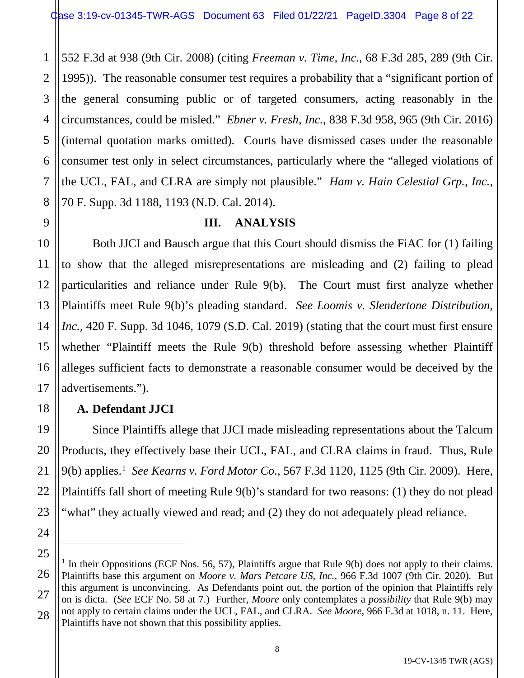1 2 3 4 5 6 7 8 552 F.3d at 938 (9th Cir. 2008) (citing *Freeman v. Time, Inc.*, 68 F.3d 285, 289 (9th Cir. 1995)). The reasonable consumer test requires a probability that a "significant portion of the general consuming public or of targeted consumers, acting reasonably in the circumstances, could be misled." *Ebner v. Fresh, Inc.*, 838 F.3d 958, 965 (9th Cir. 2016) (internal quotation marks omitted). Courts have dismissed cases under the reasonable consumer test only in select circumstances, particularly where the "alleged violations of the UCL, FAL, and CLRA are simply not plausible." *Ham v. Hain Celestial Grp., Inc.*, 70 F. Supp. 3d 1188, 1193 (N.D. Cal. 2014).

# **III. ANALYSIS**

Both JJCI and Bausch argue that this Court should dismiss the FiAC for (1) failing to show that the alleged misrepresentations are misleading and (2) failing to plead particularities and reliance under Rule 9(b). The Court must first analyze whether Plaintiffs meet Rule 9(b)'s pleading standard. *See Loomis v. Slendertone Distribution, Inc.*, 420 F. Supp. 3d 1046, 1079 (S.D. Cal. 2019) (stating that the court must first ensure whether "Plaintiff meets the Rule 9(b) threshold before assessing whether Plaintiff alleges sufficient facts to demonstrate a reasonable consumer would be deceived by the advertisements.").

# **A. Defendant JJCI**

9

10

11

12

13

14

15

16

17

18

19

20

21

22

23

24

Since Plaintiffs allege that JJCI made misleading representations about the Talcum Products, they effectively base their UCL, FAL, and CLRA claims in fraud. Thus, Rule 9(b) applies.1 *See Kearns v. Ford Motor Co.*, 567 F.3d 1120, 1125 (9th Cir. 2009). Here, Plaintiffs fall short of meeting Rule 9(b)'s standard for two reasons: (1) they do not plead "what" they actually viewed and read; and (2) they do not adequately plead reliance.

<sup>25</sup> 26 27 28 <sup>1</sup> In their Oppositions (ECF Nos. 56, 57), Plaintiffs argue that Rule 9(b) does not apply to their claims. Plaintiffs base this argument on *Moore v. Mars Petcare US, Inc.*, 966 F.3d 1007 (9th Cir. 2020). But this argument is unconvincing. As Defendants point out, the portion of the opinion that Plaintiffs rely on is dicta. (*See* ECF No. 58 at 7.) Further, *Moore* only contemplates a *possibility* that Rule 9(b) may not apply to certain claims under the UCL, FAL, and CLRA. *See Moore*, 966 F.3d at 1018, n. 11. Here, Plaintiffs have not shown that this possibility applies.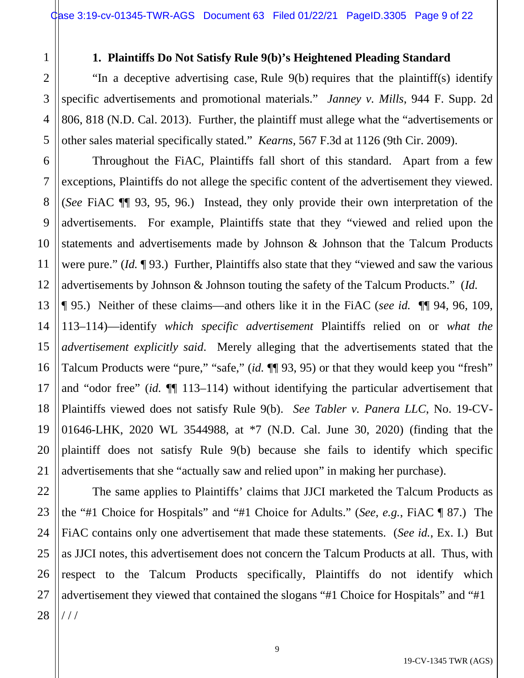#### **1. Plaintiffs Do Not Satisfy Rule 9(b)'s Heightened Pleading Standard**

1

2

3

4

5

6

7

8

9

10

11

12

23

27

"In a deceptive advertising case, Rule 9(b) requires that the plaintiff(s) identify specific advertisements and promotional materials." *Janney v. Mills*, 944 F. Supp. 2d 806, 818 (N.D. Cal. 2013). Further, the plaintiff must allege what the "advertisements or other sales material specifically stated." *Kearns,* 567 F.3d at 1126 (9th Cir. 2009).

Throughout the FiAC, Plaintiffs fall short of this standard. Apart from a few exceptions, Plaintiffs do not allege the specific content of the advertisement they viewed. (*See* FiAC ¶¶ 93, 95, 96.) Instead, they only provide their own interpretation of the advertisements. For example, Plaintiffs state that they "viewed and relied upon the statements and advertisements made by Johnson & Johnson that the Talcum Products were pure." (*Id.* ¶ 93.) Further, Plaintiffs also state that they "viewed and saw the various advertisements by Johnson & Johnson touting the safety of the Talcum Products." (*Id.*

13 14 15 16 17 18 19 20 21 ¶ 95.) Neither of these claims—and others like it in the FiAC (*see id.* ¶¶ 94, 96, 109, 113–114)—identify *which specific advertisement* Plaintiffs relied on or *what the advertisement explicitly said*. Merely alleging that the advertisements stated that the Talcum Products were "pure," "safe," (*id.* ¶¶ 93, 95) or that they would keep you "fresh" and "odor free" (*id.* ¶¶ 113–114) without identifying the particular advertisement that Plaintiffs viewed does not satisfy Rule 9(b). *See Tabler v. Panera LLC*, No. 19-CV-01646-LHK, 2020 WL 3544988, at \*7 (N.D. Cal. June 30, 2020) (finding that the plaintiff does not satisfy Rule 9(b) because she fails to identify which specific advertisements that she "actually saw and relied upon" in making her purchase).

22 24 25 26 28 The same applies to Plaintiffs' claims that JJCI marketed the Talcum Products as the "#1 Choice for Hospitals" and "#1 Choice for Adults." (*See, e.g.*, FiAC ¶ 87.) The FiAC contains only one advertisement that made these statements. (*See id.*, Ex. I.) But as JJCI notes, this advertisement does not concern the Talcum Products at all. Thus, with respect to the Talcum Products specifically, Plaintiffs do not identify which advertisement they viewed that contained the slogans "#1 Choice for Hospitals" and "#1 / / /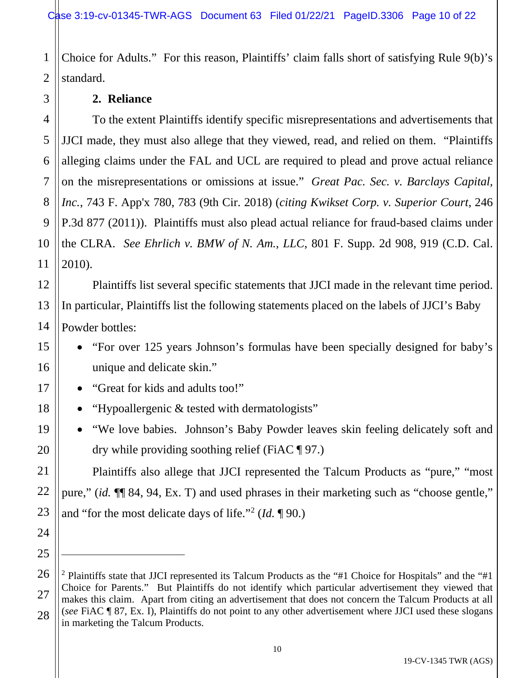1 2 Choice for Adults." For this reason, Plaintiffs' claim falls short of satisfying Rule 9(b)'s standard.

#### **2. Reliance**

3

5

7

11

12

13

14

15

16

17

18

19

20

21

22

23

24

25

4 6 8 9 10 To the extent Plaintiffs identify specific misrepresentations and advertisements that JJCI made, they must also allege that they viewed, read, and relied on them. "Plaintiffs alleging claims under the FAL and UCL are required to plead and prove actual reliance on the misrepresentations or omissions at issue." *Great Pac. Sec. v. Barclays Capital, Inc.*, 743 F. App'x 780, 783 (9th Cir. 2018) (*citing Kwikset Corp. v. Superior Court*, 246 P.3d 877 (2011)). Plaintiffs must also plead actual reliance for fraud-based claims under the CLRA. *See Ehrlich v. BMW of N. Am., LLC*, 801 F. Supp. 2d 908, 919 (C.D. Cal. 2010).

Plaintiffs list several specific statements that JJCI made in the relevant time period. In particular, Plaintiffs list the following statements placed on the labels of JJCI's Baby Powder bottles:

- "For over 125 years Johnson's formulas have been specially designed for baby's unique and delicate skin."
- "Great for kids and adults too!"
- "Hypoallergenic & tested with dermatologists"
- "We love babies. Johnson's Baby Powder leaves skin feeling delicately soft and dry while providing soothing relief (FiAC  $\P$  97.)

Plaintiffs also allege that JJCI represented the Talcum Products as "pure," "most pure," (*id.* ¶¶ 84, 94, Ex. T) and used phrases in their marketing such as "choose gentle," and "for the most delicate days of life."2 (*Id.* ¶ 90.)

<sup>26</sup> 27 28 <sup>2</sup> Plaintiffs state that JJCI represented its Talcum Products as the "#1 Choice for Hospitals" and the "#1 Choice for Parents." But Plaintiffs do not identify which particular advertisement they viewed that makes this claim. Apart from citing an advertisement that does not concern the Talcum Products at all (*see* FiAC ¶ 87, Ex. I), Plaintiffs do not point to any other advertisement where JJCI used these slogans in marketing the Talcum Products.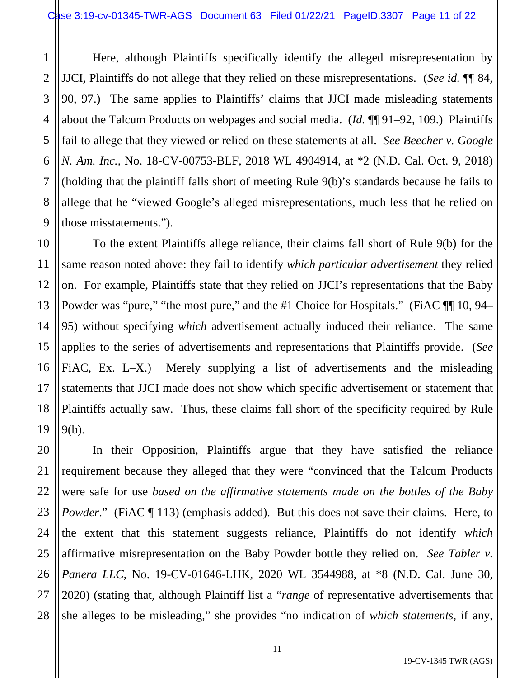1

2

3

5

7

8

9

10

11

12

13

14

15

16

17

18

19

4 6 Here, although Plaintiffs specifically identify the alleged misrepresentation by JJCI, Plaintiffs do not allege that they relied on these misrepresentations. (*See id.* ¶¶ 84, 90, 97.) The same applies to Plaintiffs' claims that JJCI made misleading statements about the Talcum Products on webpages and social media. (*Id.* ¶¶ 91–92, 109.) Plaintiffs fail to allege that they viewed or relied on these statements at all. *See Beecher v. Google N. Am. Inc.*, No. 18-CV-00753-BLF, 2018 WL 4904914, at \*2 (N.D. Cal. Oct. 9, 2018) (holding that the plaintiff falls short of meeting Rule 9(b)'s standards because he fails to allege that he "viewed Google's alleged misrepresentations, much less that he relied on those misstatements.").

To the extent Plaintiffs allege reliance, their claims fall short of Rule 9(b) for the same reason noted above: they fail to identify *which particular advertisement* they relied on. For example, Plaintiffs state that they relied on JJCI's representations that the Baby Powder was "pure," "the most pure," and the #1 Choice for Hospitals." (FiAC  $\P$  10, 94– 95) without specifying *which* advertisement actually induced their reliance. The same applies to the series of advertisements and representations that Plaintiffs provide. (*See*  FIAC, Ex. L–X.) Merely supplying a list of advertisements and the misleading statements that JJCI made does not show which specific advertisement or statement that Plaintiffs actually saw. Thus, these claims fall short of the specificity required by Rule 9(b).

20 21 22 23 24 25 26 27 28 In their Opposition, Plaintiffs argue that they have satisfied the reliance requirement because they alleged that they were "convinced that the Talcum Products were safe for use *based on the affirmative statements made on the bottles of the Baby Powder*." (FiAC ¶ 113) (emphasis added). But this does not save their claims. Here, to the extent that this statement suggests reliance, Plaintiffs do not identify *which* affirmative misrepresentation on the Baby Powder bottle they relied on. *See Tabler v. Panera LLC*, No. 19-CV-01646-LHK, 2020 WL 3544988, at \*8 (N.D. Cal. June 30, 2020) (stating that, although Plaintiff list a "*range* of representative advertisements that she alleges to be misleading," she provides "no indication of *which statements*, if any,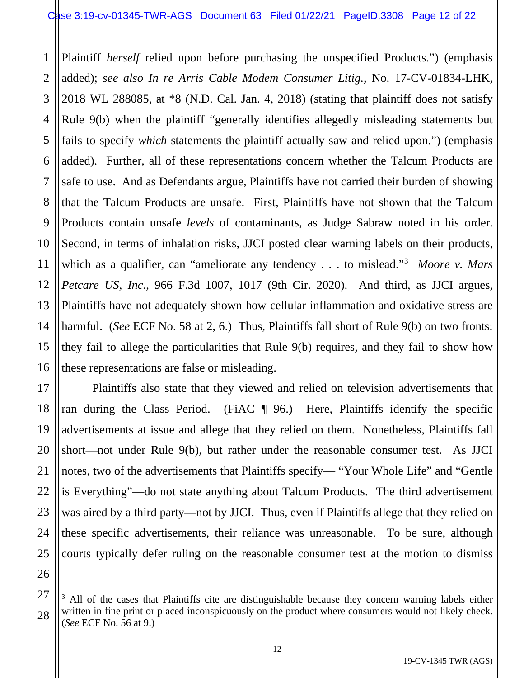#### Case 3:19-cv-01345-TWR-AGS Document 63 Filed 01/22/21 PageID.3308 Page 12 of 22

1 2 3 4 5 6 7 8 9 10 11 12 13 14 15 16 Plaintiff *herself* relied upon before purchasing the unspecified Products.") (emphasis added); *see also In re Arris Cable Modem Consumer Litig.*, No. 17-CV-01834-LHK, 2018 WL 288085, at \*8 (N.D. Cal. Jan. 4, 2018) (stating that plaintiff does not satisfy Rule 9(b) when the plaintiff "generally identifies allegedly misleading statements but fails to specify *which* statements the plaintiff actually saw and relied upon.") (emphasis added). Further, all of these representations concern whether the Talcum Products are safe to use. And as Defendants argue, Plaintiffs have not carried their burden of showing that the Talcum Products are unsafe. First, Plaintiffs have not shown that the Talcum Products contain unsafe *levels* of contaminants, as Judge Sabraw noted in his order. Second, in terms of inhalation risks, JJCI posted clear warning labels on their products, which as a qualifier, can "ameliorate any tendency . . . to mislead."<sup>3</sup> *Moore v. Mars Petcare US, Inc.*, 966 F.3d 1007, 1017 (9th Cir. 2020). And third, as JJCI argues, Plaintiffs have not adequately shown how cellular inflammation and oxidative stress are harmful. (*See* ECF No. 58 at 2, 6.) Thus, Plaintiffs fall short of Rule 9(b) on two fronts: they fail to allege the particularities that Rule 9(b) requires, and they fail to show how these representations are false or misleading.

17 18 19 20 22 23 24 25 Plaintiffs also state that they viewed and relied on television advertisements that ran during the Class Period. (FiAC  $\parallel$  96.) Here, Plaintiffs identify the specific advertisements at issue and allege that they relied on them. Nonetheless, Plaintiffs fall short—not under Rule 9(b), but rather under the reasonable consumer test. As JJCI notes, two of the advertisements that Plaintiffs specify— "Your Whole Life" and "Gentle is Everything"—do not state anything about Talcum Products. The third advertisement was aired by a third party—not by JJCI. Thus, even if Plaintiffs allege that they relied on these specific advertisements, their reliance was unreasonable. To be sure, although courts typically defer ruling on the reasonable consumer test at the motion to dismiss

21

<sup>27</sup> 28  $3$  All of the cases that Plaintiffs cite are distinguishable because they concern warning labels either written in fine print or placed inconspicuously on the product where consumers would not likely check. (*See* ECF No. 56 at 9.)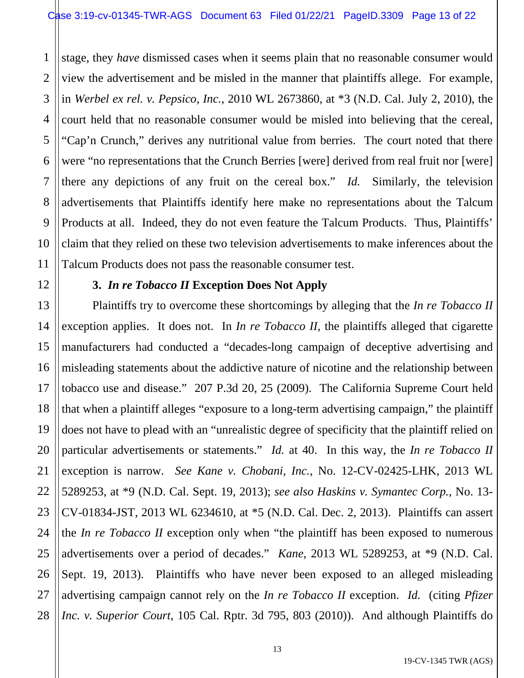1 2 3 4 5 6 7 8 9 10 11 stage, they *have* dismissed cases when it seems plain that no reasonable consumer would view the advertisement and be misled in the manner that plaintiffs allege. For example, in *Werbel ex rel. v. Pepsico, Inc.*, 2010 WL 2673860, at \*3 (N.D. Cal. July 2, 2010), the court held that no reasonable consumer would be misled into believing that the cereal, "Cap'n Crunch," derives any nutritional value from berries. The court noted that there were "no representations that the Crunch Berries [were] derived from real fruit nor [were] there any depictions of any fruit on the cereal box." *Id.* Similarly, the television advertisements that Plaintiffs identify here make no representations about the Talcum Products at all. Indeed, they do not even feature the Talcum Products. Thus, Plaintiffs' claim that they relied on these two television advertisements to make inferences about the Talcum Products does not pass the reasonable consumer test.

#### **3.** *In re Tobacco II* **Exception Does Not Apply**

12

13

15

17

18

21

22

23

27

14 16 19 20 24 25 26 28 Plaintiffs try to overcome these shortcomings by alleging that the *In re Tobacco II*  exception applies. It does not. In *In re Tobacco II,* the plaintiffs alleged that cigarette manufacturers had conducted a "decades-long campaign of deceptive advertising and misleading statements about the addictive nature of nicotine and the relationship between tobacco use and disease." 207 P.3d 20, 25 (2009). The California Supreme Court held that when a plaintiff alleges "exposure to a long-term advertising campaign," the plaintiff does not have to plead with an "unrealistic degree of specificity that the plaintiff relied on particular advertisements or statements." *Id.* at 40. In this way, the *In re Tobacco II* exception is narrow. *See Kane v. Chobani, Inc.*, No. 12-CV-02425-LHK, 2013 WL 5289253, at \*9 (N.D. Cal. Sept. 19, 2013); *see also Haskins v. Symantec Corp.*, No. 13- CV-01834-JST, 2013 WL 6234610, at \*5 (N.D. Cal. Dec. 2, 2013). Plaintiffs can assert the *In re Tobacco II* exception only when "the plaintiff has been exposed to numerous advertisements over a period of decades." *Kane*, 2013 WL 5289253, at \*9 (N.D. Cal. Sept. 19, 2013). Plaintiffs who have never been exposed to an alleged misleading advertising campaign cannot rely on the *In re Tobacco II* exception. *Id.* (citing *Pfizer Inc. v. Superior Court*, 105 Cal. Rptr. 3d 795, 803 (2010)). And although Plaintiffs do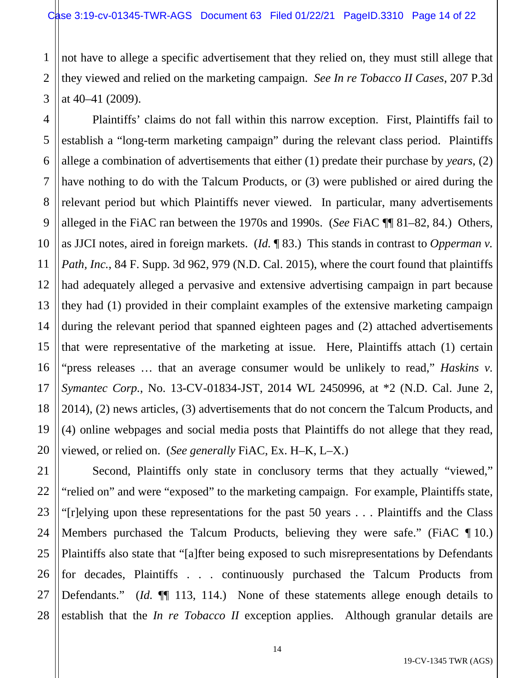1 2 3 not have to allege a specific advertisement that they relied on, they must still allege that they viewed and relied on the marketing campaign. *See In re Tobacco II Cases*, 207 P.3d at 40–41 (2009).

4 5 6 7 8 9 10 11 12 13 14 15 16 17 18 19 20 Plaintiffs' claims do not fall within this narrow exception. First, Plaintiffs fail to establish a "long-term marketing campaign" during the relevant class period. Plaintiffs allege a combination of advertisements that either (1) predate their purchase by *years*, (2) have nothing to do with the Talcum Products, or (3) were published or aired during the relevant period but which Plaintiffs never viewed. In particular, many advertisements alleged in the FiAC ran between the 1970s and 1990s. (*See* FiAC ¶¶ 81–82, 84.) Others, as JJCI notes, aired in foreign markets. (*Id.* ¶ 83.) This stands in contrast to *Opperman v. Path, Inc.*, 84 F. Supp. 3d 962, 979 (N.D. Cal. 2015), where the court found that plaintiffs had adequately alleged a pervasive and extensive advertising campaign in part because they had (1) provided in their complaint examples of the extensive marketing campaign during the relevant period that spanned eighteen pages and (2) attached advertisements that were representative of the marketing at issue. Here, Plaintiffs attach (1) certain "press releases … that an average consumer would be unlikely to read," *Haskins v. Symantec Corp.*, No. 13-CV-01834-JST, 2014 WL 2450996, at \*2 (N.D. Cal. June 2, 2014), (2) news articles, (3) advertisements that do not concern the Talcum Products, and (4) online webpages and social media posts that Plaintiffs do not allege that they read, viewed, or relied on. (*See generally* FiAC, Ex. H–K, L–X.)

21 22 23 24 25 26 27 28 Second, Plaintiffs only state in conclusory terms that they actually "viewed," "relied on" and were "exposed" to the marketing campaign. For example, Plaintiffs state, "[r]elying upon these representations for the past 50 years . . . Plaintiffs and the Class Members purchased the Talcum Products, believing they were safe." (FiAC ¶ 10.) Plaintiffs also state that "[a]fter being exposed to such misrepresentations by Defendants for decades, Plaintiffs . . . continuously purchased the Talcum Products from Defendants." (*Id.*  $\P$  113, 114.) None of these statements allege enough details to establish that the *In re Tobacco II* exception applies. Although granular details are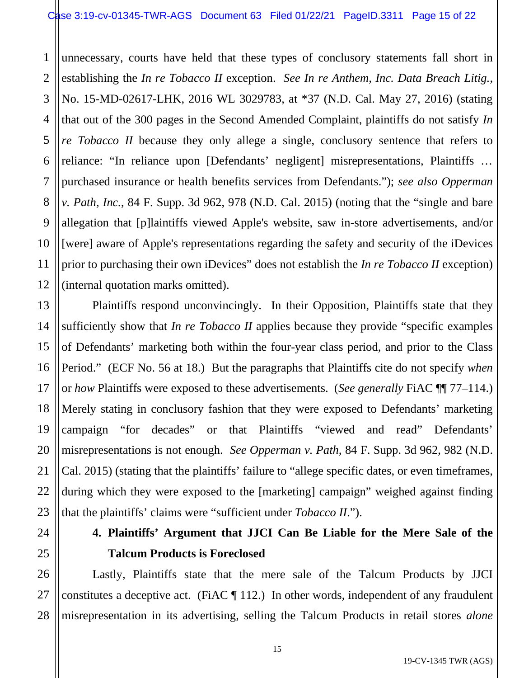1 2 3 4 5 6 7 8 9 10 11 12 unnecessary, courts have held that these types of conclusory statements fall short in establishing the *In re Tobacco II* exception. *See In re Anthem, Inc. Data Breach Litig.*, No. 15-MD-02617-LHK, 2016 WL 3029783, at \*37 (N.D. Cal. May 27, 2016) (stating that out of the 300 pages in the Second Amended Complaint, plaintiffs do not satisfy *In re Tobacco II* because they only allege a single, conclusory sentence that refers to reliance: "In reliance upon [Defendants' negligent] misrepresentations, Plaintiffs … purchased insurance or health benefits services from Defendants."); *see also Opperman v. Path, Inc.*, 84 F. Supp. 3d 962, 978 (N.D. Cal. 2015) (noting that the "single and bare allegation that [p]laintiffs viewed Apple's website, saw in-store advertisements, and/or [were] aware of Apple's representations regarding the safety and security of the iDevices prior to purchasing their own iDevices" does not establish the *In re Tobacco II* exception) (internal quotation marks omitted).

13 14 15 16 17 18 19 20 22 23 Plaintiffs respond unconvincingly. In their Opposition, Plaintiffs state that they sufficiently show that *In re Tobacco II* applies because they provide "specific examples of Defendants' marketing both within the four-year class period, and prior to the Class Period." (ECF No. 56 at 18.) But the paragraphs that Plaintiffs cite do not specify *when* or *how* Plaintiffs were exposed to these advertisements. (*See generally* FiAC ¶¶ 77–114.) Merely stating in conclusory fashion that they were exposed to Defendants' marketing campaign "for decades" or that Plaintiffs "viewed and read" Defendants' misrepresentations is not enough. *See Opperman v. Path,* 84 F. Supp. 3d 962, 982 (N.D. Cal. 2015) (stating that the plaintiffs' failure to "allege specific dates, or even timeframes, during which they were exposed to the [marketing] campaign" weighed against finding that the plaintiffs' claims were "sufficient under *Tobacco II*.").

21

24

25

26

27

28

# **4. Plaintiffs' Argument that JJCI Can Be Liable for the Mere Sale of the Talcum Products is Foreclosed**

Lastly, Plaintiffs state that the mere sale of the Talcum Products by JJCI constitutes a deceptive act. (FiAC  $\P$  112.) In other words, independent of any fraudulent misrepresentation in its advertising, selling the Talcum Products in retail stores *alone*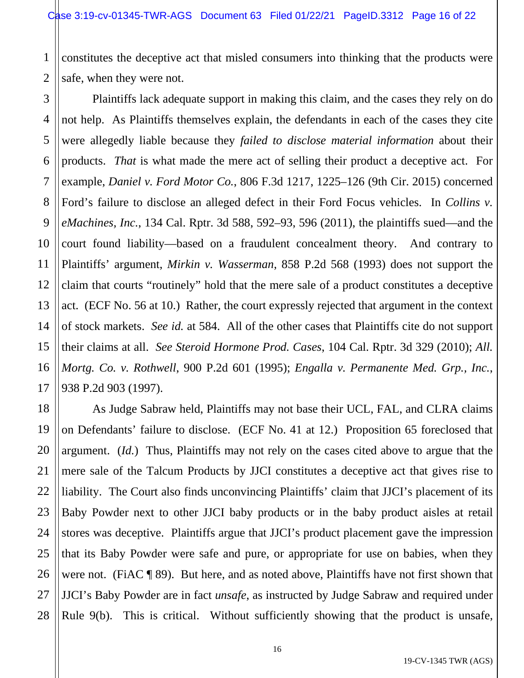1 2 constitutes the deceptive act that misled consumers into thinking that the products were safe, when they were not.

3 4 5 6 7 8 9 10 11 12 13 14 15 16 17 Plaintiffs lack adequate support in making this claim, and the cases they rely on do not help. As Plaintiffs themselves explain, the defendants in each of the cases they cite were allegedly liable because they *failed to disclose material information* about their products. *That* is what made the mere act of selling their product a deceptive act. For example, *Daniel v. Ford Motor Co.*, 806 F.3d 1217, 1225–126 (9th Cir. 2015) concerned Ford's failure to disclose an alleged defect in their Ford Focus vehicles. In *Collins v. eMachines, Inc.*, 134 Cal. Rptr. 3d 588, 592–93, 596 (2011), the plaintiffs sued—and the court found liability—based on a fraudulent concealment theory. And contrary to Plaintiffs' argument, *Mirkin v. Wasserman*, 858 P.2d 568 (1993) does not support the claim that courts "routinely" hold that the mere sale of a product constitutes a deceptive act. (ECF No. 56 at 10.) Rather, the court expressly rejected that argument in the context of stock markets. *See id.* at 584. All of the other cases that Plaintiffs cite do not support their claims at all. *See Steroid Hormone Prod. Cases*, 104 Cal. Rptr. 3d 329 (2010); *All. Mortg. Co. v. Rothwell*, 900 P.2d 601 (1995); *Engalla v. Permanente Med. Grp., Inc.*, 938 P.2d 903 (1997).

18 19 20 21 22 23 24 25 26 27 28 As Judge Sabraw held, Plaintiffs may not base their UCL, FAL, and CLRA claims on Defendants' failure to disclose. (ECF No. 41 at 12.) Proposition 65 foreclosed that argument. (*Id.*) Thus, Plaintiffs may not rely on the cases cited above to argue that the mere sale of the Talcum Products by JJCI constitutes a deceptive act that gives rise to liability. The Court also finds unconvincing Plaintiffs' claim that JJCI's placement of its Baby Powder next to other JJCI baby products or in the baby product aisles at retail stores was deceptive. Plaintiffs argue that JJCI's product placement gave the impression that its Baby Powder were safe and pure, or appropriate for use on babies, when they were not. (FiAC ¶ 89). But here, and as noted above, Plaintiffs have not first shown that JJCI's Baby Powder are in fact *unsafe*, as instructed by Judge Sabraw and required under Rule 9(b). This is critical. Without sufficiently showing that the product is unsafe,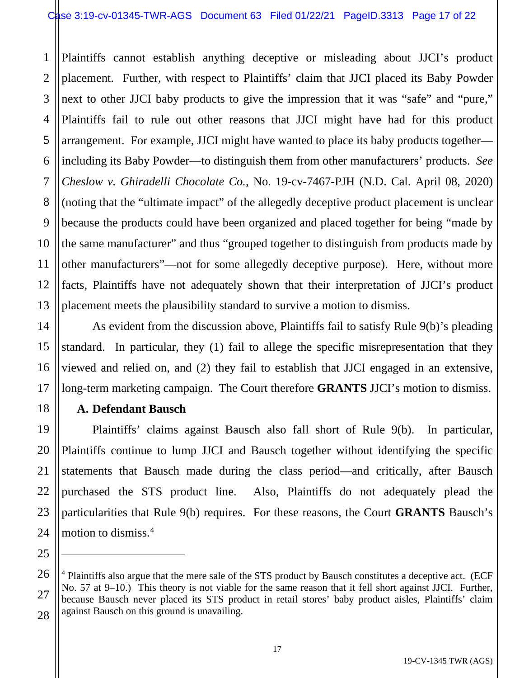1 2 3 4 5 6 7 8 9 10 11 12 13 Plaintiffs cannot establish anything deceptive or misleading about JJCI's product placement. Further, with respect to Plaintiffs' claim that JJCI placed its Baby Powder next to other JJCI baby products to give the impression that it was "safe" and "pure," Plaintiffs fail to rule out other reasons that JJCI might have had for this product arrangement. For example, JJCI might have wanted to place its baby products together including its Baby Powder—to distinguish them from other manufacturers' products. *See Cheslow v. Ghiradelli Chocolate Co.*, No. 19-cv-7467-PJH (N.D. Cal. April 08, 2020) (noting that the "ultimate impact" of the allegedly deceptive product placement is unclear because the products could have been organized and placed together for being "made by the same manufacturer" and thus "grouped together to distinguish from products made by other manufacturers"—not for some allegedly deceptive purpose). Here, without more facts, Plaintiffs have not adequately shown that their interpretation of JJCI's product placement meets the plausibility standard to survive a motion to dismiss.

As evident from the discussion above, Plaintiffs fail to satisfy Rule 9(b)'s pleading standard. In particular, they (1) fail to allege the specific misrepresentation that they viewed and relied on, and (2) they fail to establish that JJCI engaged in an extensive, long-term marketing campaign. The Court therefore **GRANTS** JJCI's motion to dismiss.

## **A. Defendant Bausch**

14

15

16

17

18

19

20

21

22

23

24

25

27

Plaintiffs' claims against Bausch also fall short of Rule 9(b). In particular, Plaintiffs continue to lump JJCI and Bausch together without identifying the specific statements that Bausch made during the class period—and critically, after Bausch purchased the STS product line. Also, Plaintiffs do not adequately plead the particularities that Rule 9(b) requires. For these reasons, the Court **GRANTS** Bausch's motion to dismiss.4

<sup>26</sup> 28 <sup>4</sup> Plaintiffs also argue that the mere sale of the STS product by Bausch constitutes a deceptive act. (ECF No. 57 at 9–10.) This theory is not viable for the same reason that it fell short against JJCI. Further, because Bausch never placed its STS product in retail stores' baby product aisles, Plaintiffs' claim against Bausch on this ground is unavailing.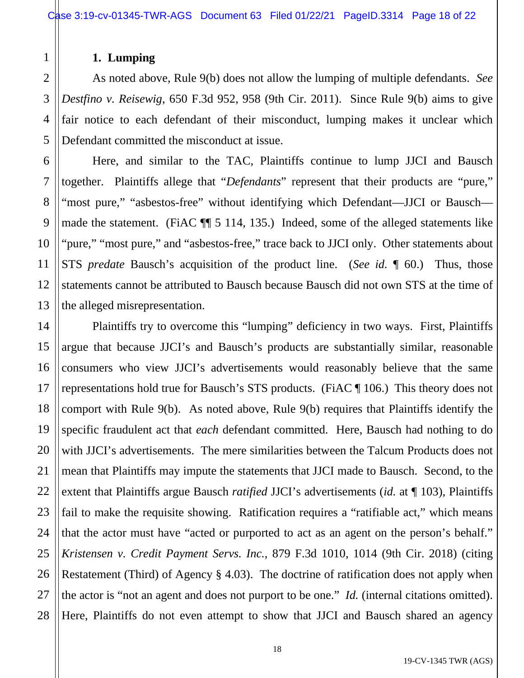# **1. Lumping**

As noted above, Rule 9(b) does not allow the lumping of multiple defendants. *See Destfino v. Reisewig*, 650 F.3d 952, 958 (9th Cir. 2011). Since Rule 9(b) aims to give fair notice to each defendant of their misconduct, lumping makes it unclear which Defendant committed the misconduct at issue.

Here, and similar to the TAC, Plaintiffs continue to lump JJCI and Bausch together. Plaintiffs allege that "*Defendants*" represent that their products are "pure," "most pure," "asbestos-free" without identifying which Defendant—JJCI or Bausch made the statement. (FiAC ¶¶ 5 114, 135.) Indeed, some of the alleged statements like "pure," "most pure," and "asbestos-free," trace back to JJCI only. Other statements about STS *predate* Bausch's acquisition of the product line. (*See id.* ¶ 60.) Thus, those statements cannot be attributed to Bausch because Bausch did not own STS at the time of the alleged misrepresentation.

Plaintiffs try to overcome this "lumping" deficiency in two ways. First, Plaintiffs argue that because JJCI's and Bausch's products are substantially similar, reasonable consumers who view JJCI's advertisements would reasonably believe that the same representations hold true for Bausch's STS products. (FiAC ¶ 106.) This theory does not comport with Rule 9(b). As noted above, Rule 9(b) requires that Plaintiffs identify the specific fraudulent act that *each* defendant committed. Here, Bausch had nothing to do with JJCI's advertisements. The mere similarities between the Talcum Products does not mean that Plaintiffs may impute the statements that JJCI made to Bausch. Second, to the extent that Plaintiffs argue Bausch *ratified* JJCI's advertisements (*id.* at ¶ 103), Plaintiffs fail to make the requisite showing. Ratification requires a "ratifiable act," which means that the actor must have "acted or purported to act as an agent on the person's behalf." *Kristensen v. Credit Payment Servs. Inc.*, 879 F.3d 1010, 1014 (9th Cir. 2018) (citing Restatement (Third) of Agency § 4.03). The doctrine of ratification does not apply when the actor is "not an agent and does not purport to be one." *Id.* (internal citations omitted). Here, Plaintiffs do not even attempt to show that JJCI and Bausch shared an agency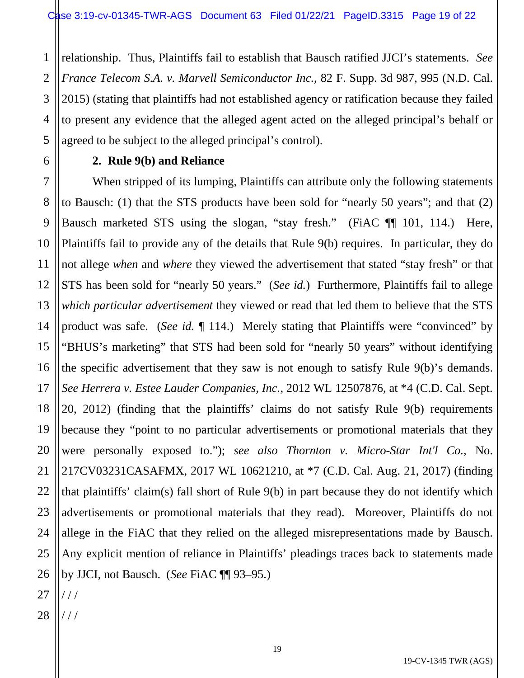1 2 3 4 5 relationship. Thus, Plaintiffs fail to establish that Bausch ratified JJCI's statements. *See France Telecom S.A. v. Marvell Semiconductor Inc.*, 82 F. Supp. 3d 987, 995 (N.D. Cal. 2015) (stating that plaintiffs had not established agency or ratification because they failed to present any evidence that the alleged agent acted on the alleged principal's behalf or agreed to be subject to the alleged principal's control).

#### **2. Rule 9(b) and Reliance**

7 8 9 10 11 12 13 14 15 16 17 18 19 20 21 22 23 24 25 When stripped of its lumping, Plaintiffs can attribute only the following statements to Bausch: (1) that the STS products have been sold for "nearly 50 years"; and that (2) Bausch marketed STS using the slogan, "stay fresh." (FiAC ¶¶ 101, 114.) Here, Plaintiffs fail to provide any of the details that Rule 9(b) requires. In particular, they do not allege *when* and *where* they viewed the advertisement that stated "stay fresh" or that STS has been sold for "nearly 50 years." (*See id.*) Furthermore, Plaintiffs fail to allege *which particular advertisement* they viewed or read that led them to believe that the STS product was safe. (*See id.* ¶ 114.) Merely stating that Plaintiffs were "convinced" by "BHUS's marketing" that STS had been sold for "nearly 50 years" without identifying the specific advertisement that they saw is not enough to satisfy Rule 9(b)'s demands. *See Herrera v. Estee Lauder Companies, Inc.*, 2012 WL 12507876, at \*4 (C.D. Cal. Sept. 20, 2012) (finding that the plaintiffs' claims do not satisfy Rule 9(b) requirements because they "point to no particular advertisements or promotional materials that they were personally exposed to."); *see also Thornton v. Micro-Star Int'l Co.*, No. 217CV03231CASAFMX, 2017 WL 10621210, at \*7 (C.D. Cal. Aug. 21, 2017) (finding that plaintiffs' claim(s) fall short of Rule 9(b) in part because they do not identify which advertisements or promotional materials that they read). Moreover, Plaintiffs do not allege in the FiAC that they relied on the alleged misrepresentations made by Bausch. Any explicit mention of reliance in Plaintiffs' pleadings traces back to statements made by JJCI, not Bausch. (*See* FiAC ¶¶ 93–95.)

6

28 / / /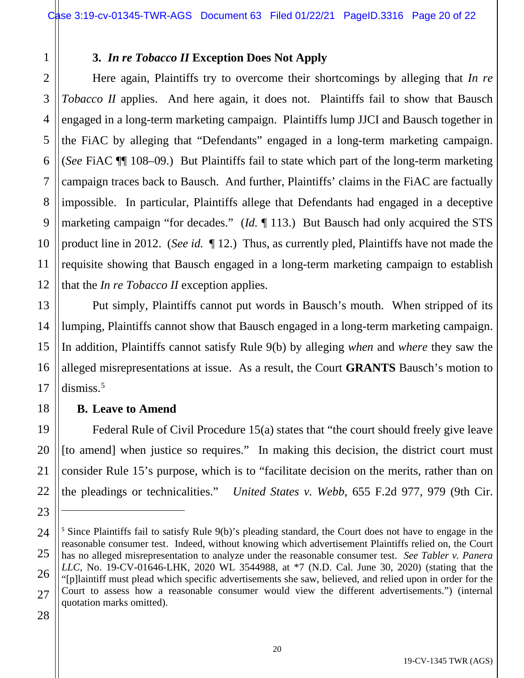# **3.** *In re Tobacco II* **Exception Does Not Apply**

Here again, Plaintiffs try to overcome their shortcomings by alleging that *In re Tobacco II* applies. And here again, it does not. Plaintiffs fail to show that Bausch engaged in a long-term marketing campaign. Plaintiffs lump JJCI and Bausch together in the FiAC by alleging that "Defendants" engaged in a long-term marketing campaign. (*See* FiAC ¶¶ 108–09.) But Plaintiffs fail to state which part of the long-term marketing campaign traces back to Bausch. And further, Plaintiffs' claims in the FiAC are factually impossible. In particular, Plaintiffs allege that Defendants had engaged in a deceptive marketing campaign "for decades." (*Id.* ¶ 113.) But Bausch had only acquired the STS product line in 2012. (*See id.* ¶ 12.) Thus, as currently pled, Plaintiffs have not made the requisite showing that Bausch engaged in a long-term marketing campaign to establish that the *In re Tobacco II* exception applies.

Put simply, Plaintiffs cannot put words in Bausch's mouth. When stripped of its lumping, Plaintiffs cannot show that Bausch engaged in a long-term marketing campaign. In addition, Plaintiffs cannot satisfy Rule 9(b) by alleging *when* and *where* they saw the alleged misrepresentations at issue. As a result, the Court **GRANTS** Bausch's motion to  $dismiss.<sup>5</sup>$ 

## **B. Leave to Amend**

Federal Rule of Civil Procedure 15(a) states that "the court should freely give leave [to amend] when justice so requires." In making this decision, the district court must consider Rule 15's purpose, which is to "facilitate decision on the merits, rather than on the pleadings or technicalities." *United States v. Webb*, 655 F.2d 977, 979 (9th Cir.

28

1

2

3

4

5

6

7

8

9

10

11

12

13

14

15

16

17

18

19

20

21

22

<sup>24</sup> 25 26 27 <sup>5</sup> Since Plaintiffs fail to satisfy Rule 9(b)'s pleading standard, the Court does not have to engage in the reasonable consumer test. Indeed, without knowing which advertisement Plaintiffs relied on, the Court has no alleged misrepresentation to analyze under the reasonable consumer test. *See Tabler v. Panera LLC*, No. 19-CV-01646-LHK, 2020 WL 3544988, at \*7 (N.D. Cal. June 30, 2020) (stating that the "[p]laintiff must plead which specific advertisements she saw, believed, and relied upon in order for the Court to assess how a reasonable consumer would view the different advertisements.") (internal quotation marks omitted).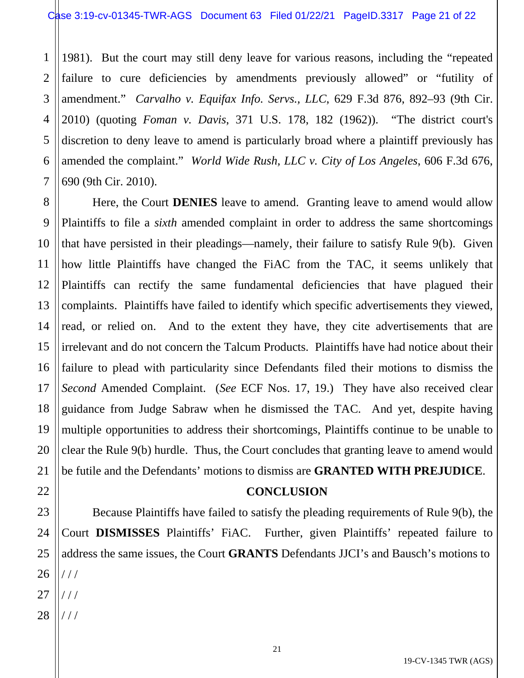1 2 3 4 5 6 7 1981). But the court may still deny leave for various reasons, including the "repeated failure to cure deficiencies by amendments previously allowed" or "futility of amendment." *Carvalho v. Equifax Info. Servs., LLC*, 629 F.3d 876, 892–93 (9th Cir. 2010) (quoting *Foman v. Davis*, 371 U.S. 178, 182 (1962)). "The district court's discretion to deny leave to amend is particularly broad where a plaintiff previously has amended the complaint." *World Wide Rush, LLC v. City of Los Angeles*, 606 F.3d 676, 690 (9th Cir. 2010).

8 9 10 11 12 13 14 15 16 17 18 19 20 21 Here, the Court **DENIES** leave to amend. Granting leave to amend would allow Plaintiffs to file a *sixth* amended complaint in order to address the same shortcomings that have persisted in their pleadings—namely, their failure to satisfy Rule 9(b). Given how little Plaintiffs have changed the FiAC from the TAC, it seems unlikely that Plaintiffs can rectify the same fundamental deficiencies that have plagued their complaints. Plaintiffs have failed to identify which specific advertisements they viewed, read, or relied on. And to the extent they have, they cite advertisements that are irrelevant and do not concern the Talcum Products. Plaintiffs have had notice about their failure to plead with particularity since Defendants filed their motions to dismiss the *Second* Amended Complaint. (*See* ECF Nos. 17, 19.) They have also received clear guidance from Judge Sabraw when he dismissed the TAC. And yet, despite having multiple opportunities to address their shortcomings, Plaintiffs continue to be unable to clear the Rule 9(b) hurdle. Thus, the Court concludes that granting leave to amend would be futile and the Defendants' motions to dismiss are **GRANTED WITH PREJUDICE**.

#### **CONCLUSION**

24 25 26 Because Plaintiffs have failed to satisfy the pleading requirements of Rule 9(b), the Court **DISMISSES** Plaintiffs' FiAC. Further, given Plaintiffs' repeated failure to address the same issues, the Court **GRANTS** Defendants JJCI's and Bausch's motions to / / / / / /

28 / / /

22

23